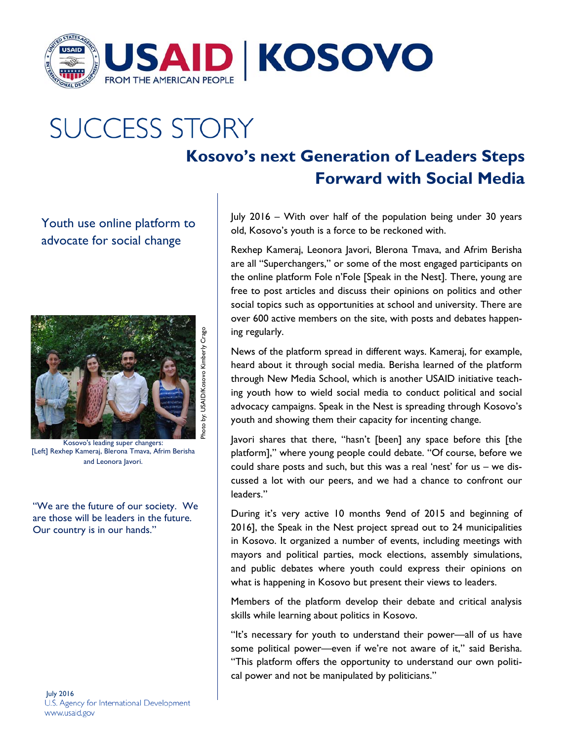

## **SUCCESS STORY**

## **Kosovo's next Generation of Leaders Steps Forward with Social Media**

Youth use online platform to advocate for social change



Kosovo's leading super changers: [Left] Rexhep Kameraj, Blerona Tmava, Afrim Berisha and Leonora Javori.

"We are the future of our society. We are those will be leaders in the future. Our country is in our hands."

July 2016 U.S. Agency for International Development www.usaid.gov

July 2016 – With over half of the population being under 30 years old, Kosovo's youth is a force to be reckoned with.

Rexhep Kameraj, Leonora Javori, Blerona Tmava, and Afrim Berisha are all "Superchangers," or some of the most engaged participants on the online platform Fole n'Fole [Speak in the Nest]. There, young are free to post articles and discuss their opinions on politics and other social topics such as opportunities at school and university. There are over 600 active members on the site, with posts and debates happening regularly.

News of the platform spread in different ways. Kameraj, for example, heard about it through social media. Berisha learned of the platform through New Media School, which is another USAID initiative teaching youth how to wield social media to conduct political and social advocacy campaigns. Speak in the Nest is spreading through Kosovo's youth and showing them their capacity for incenting change.

Javori shares that there, "hasn't [been] any space before this [the platform]," where young people could debate. "Of course, before we could share posts and such, but this was a real 'nest' for us – we discussed a lot with our peers, and we had a chance to confront our leaders."

During it's very active 10 months 9end of 2015 and beginning of 2016], the Speak in the Nest project spread out to 24 municipalities in Kosovo. It organized a number of events, including meetings with mayors and political parties, mock elections, assembly simulations, and public debates where youth could express their opinions on what is happening in Kosovo but present their views to leaders.

Members of the platform develop their debate and critical analysis skills while learning about politics in Kosovo.

"It's necessary for youth to understand their power—all of us have some political power—even if we're not aware of it," said Berisha. "This platform offers the opportunity to understand our own political power and not be manipulated by politicians."